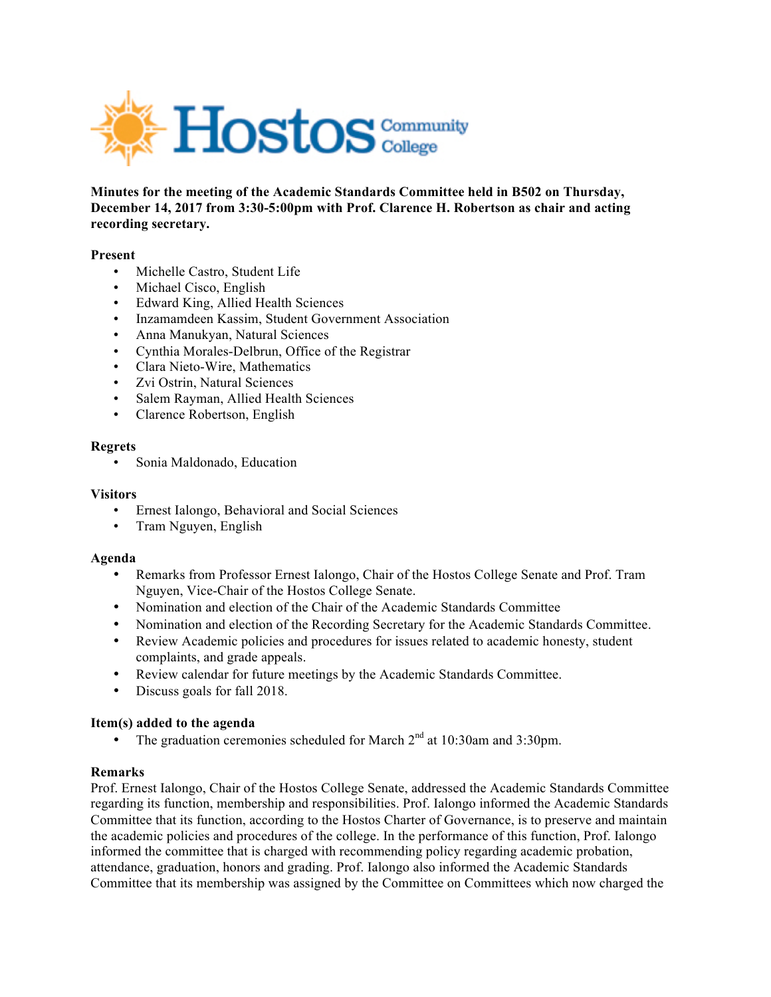

**Minutes for the meeting of the Academic Standards Committee held in B502 on Thursday, December 14, 2017 from 3:30-5:00pm with Prof. Clarence H. Robertson as chair and acting recording secretary.** 

#### **Present**

- Michelle Castro, Student Life
- Michael Cisco, English
- Edward King, Allied Health Sciences
- Inzamamdeen Kassim, Student Government Association
- Anna Manukyan, Natural Sciences
- Cynthia Morales-Delbrun, Office of the Registrar
- Clara Nieto-Wire, Mathematics
- Zvi Ostrin, Natural Sciences
- Salem Rayman, Allied Health Sciences
- Clarence Robertson, English

#### **Regrets**

• Sonia Maldonado, Education

#### **Visitors**

- Ernest Ialongo, Behavioral and Social Sciences
- Tram Nguyen, English

#### **Agenda**

- Remarks from Professor Ernest Ialongo, Chair of the Hostos College Senate and Prof. Tram Nguyen, Vice-Chair of the Hostos College Senate.
- Nomination and election of the Chair of the Academic Standards Committee
- Nomination and election of the Recording Secretary for the Academic Standards Committee.
- Review Academic policies and procedures for issues related to academic honesty, student complaints, and grade appeals.
- Review calendar for future meetings by the Academic Standards Committee.
- Discuss goals for fall 2018.

## **Item(s) added to the agenda**

• The graduation ceremonies scheduled for March  $2<sup>nd</sup>$  at 10:30am and 3:30pm.

## **Remarks**

Prof. Ernest Ialongo, Chair of the Hostos College Senate, addressed the Academic Standards Committee regarding its function, membership and responsibilities. Prof. Ialongo informed the Academic Standards Committee that its function, according to the Hostos Charter of Governance, is to preserve and maintain the academic policies and procedures of the college. In the performance of this function, Prof. Ialongo informed the committee that is charged with recommending policy regarding academic probation, attendance, graduation, honors and grading. Prof. Ialongo also informed the Academic Standards Committee that its membership was assigned by the Committee on Committees which now charged the